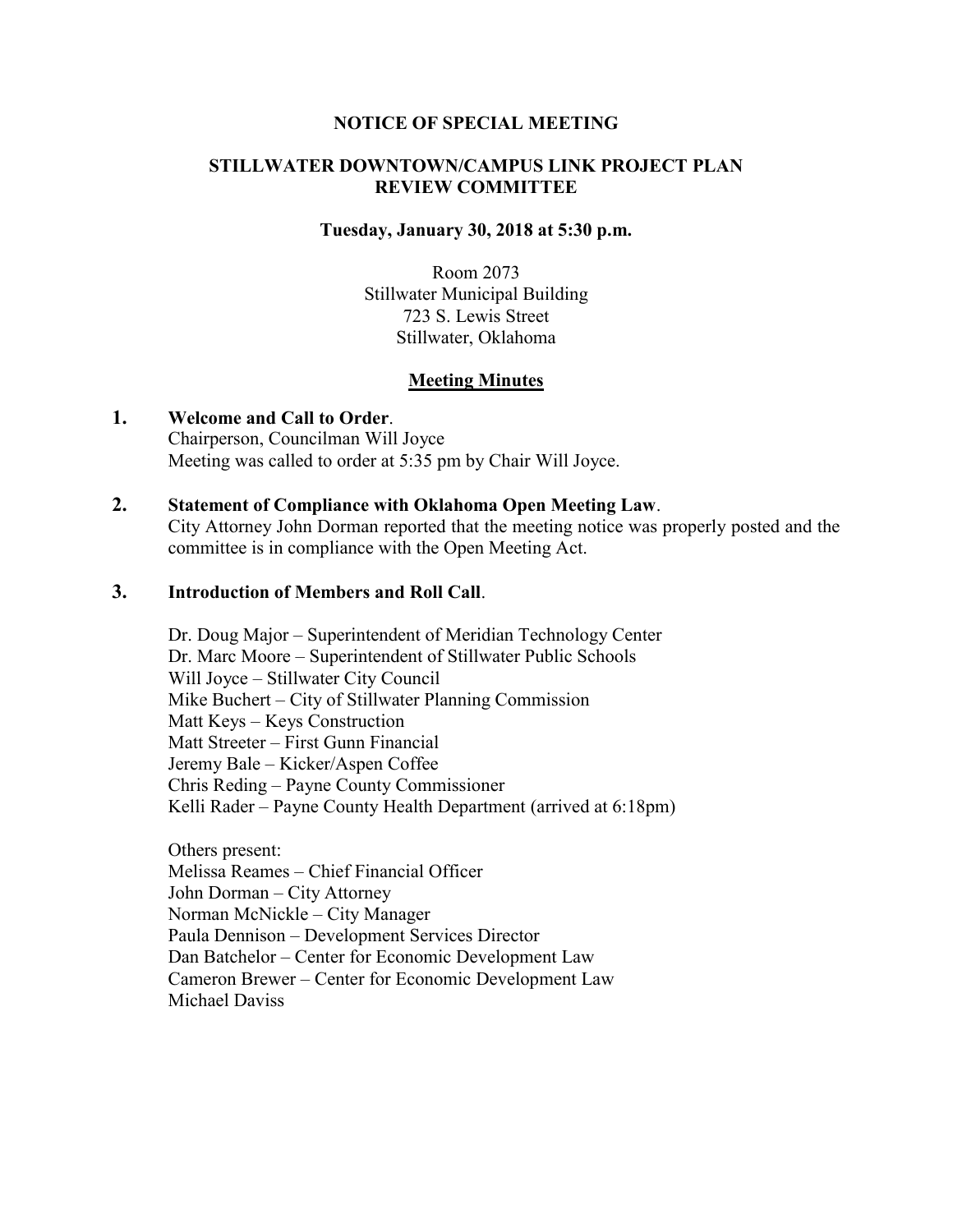#### **NOTICE OF SPECIAL MEETING**

### **STILLWATER DOWNTOWN/CAMPUS LINK PROJECT PLAN REVIEW COMMITTEE**

#### **Tuesday, January 30, 2018 at 5:30 p.m.**

Room 2073 Stillwater Municipal Building 723 S. Lewis Street Stillwater, Oklahoma

### **Meeting Minutes**

- **1. Welcome and Call to Order**. Chairperson, Councilman Will Joyce Meeting was called to order at 5:35 pm by Chair Will Joyce.
- **2. Statement of Compliance with Oklahoma Open Meeting Law**.

City Attorney John Dorman reported that the meeting notice was properly posted and the committee is in compliance with the Open Meeting Act.

## **3. Introduction of Members and Roll Call**.

Dr. Doug Major – Superintendent of Meridian Technology Center Dr. Marc Moore – Superintendent of Stillwater Public Schools Will Joyce – Stillwater City Council Mike Buchert – City of Stillwater Planning Commission Matt Keys – Keys Construction Matt Streeter – First Gunn Financial Jeremy Bale – Kicker/Aspen Coffee Chris Reding – Payne County Commissioner Kelli Rader – Payne County Health Department (arrived at 6:18pm)

Others present: Melissa Reames – Chief Financial Officer John Dorman – City Attorney Norman McNickle – City Manager Paula Dennison – Development Services Director Dan Batchelor – Center for Economic Development Law Cameron Brewer – Center for Economic Development Law Michael Daviss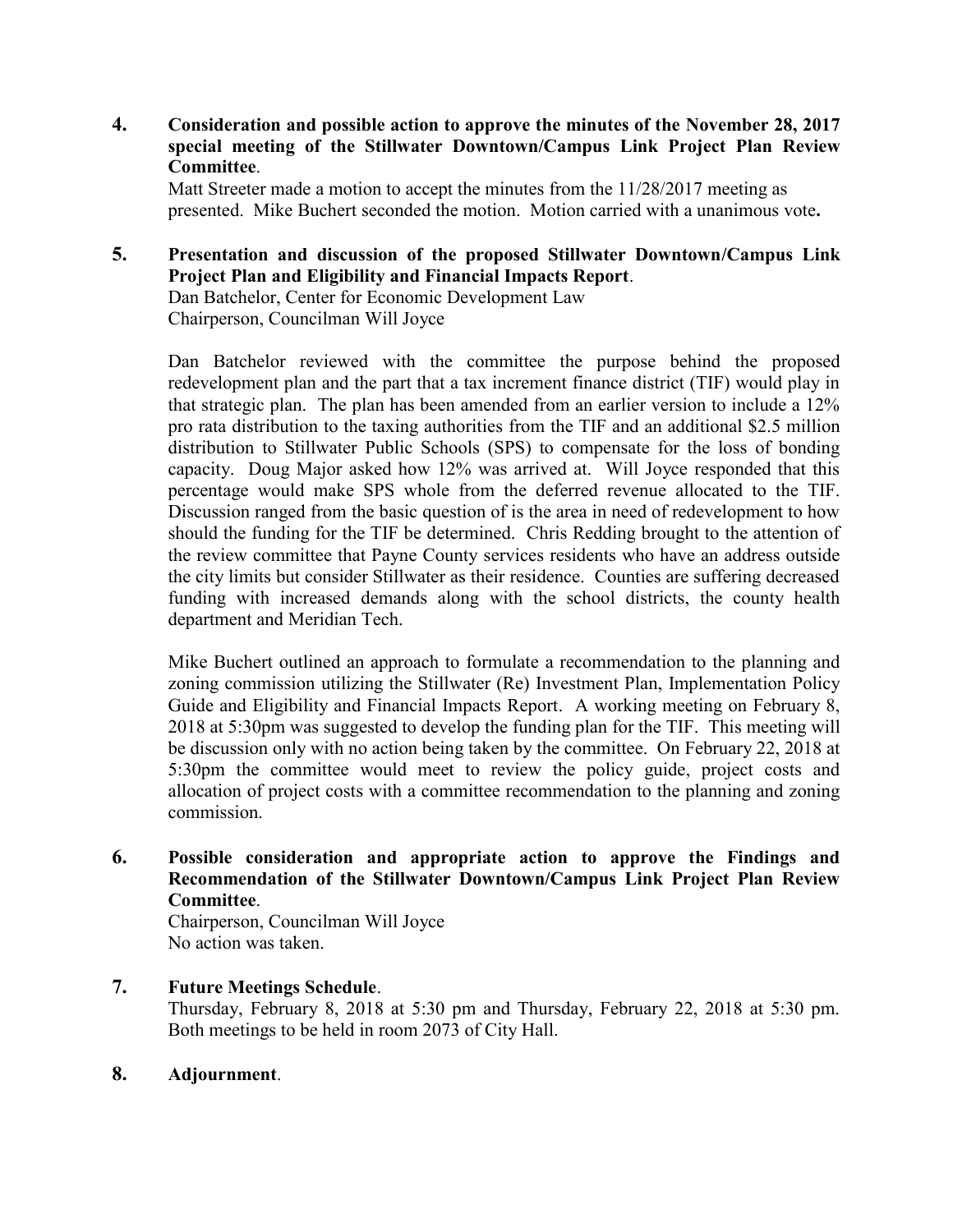**4. Consideration and possible action to approve the minutes of the November 28, 2017 special meeting of the Stillwater Downtown/Campus Link Project Plan Review Committee**.

Matt Streeter made a motion to accept the minutes from the 11/28/2017 meeting as presented. Mike Buchert seconded the motion. Motion carried with a unanimous vote**.** 

# **5. Presentation and discussion of the proposed Stillwater Downtown/Campus Link Project Plan and Eligibility and Financial Impacts Report**. Dan Batchelor, Center for Economic Development Law

Chairperson, Councilman Will Joyce

Dan Batchelor reviewed with the committee the purpose behind the proposed redevelopment plan and the part that a tax increment finance district (TIF) would play in that strategic plan. The plan has been amended from an earlier version to include a 12% pro rata distribution to the taxing authorities from the TIF and an additional \$2.5 million distribution to Stillwater Public Schools (SPS) to compensate for the loss of bonding capacity. Doug Major asked how 12% was arrived at. Will Joyce responded that this percentage would make SPS whole from the deferred revenue allocated to the TIF. Discussion ranged from the basic question of is the area in need of redevelopment to how should the funding for the TIF be determined. Chris Redding brought to the attention of the review committee that Payne County services residents who have an address outside the city limits but consider Stillwater as their residence. Counties are suffering decreased funding with increased demands along with the school districts, the county health department and Meridian Tech.

Mike Buchert outlined an approach to formulate a recommendation to the planning and zoning commission utilizing the Stillwater (Re) Investment Plan, Implementation Policy Guide and Eligibility and Financial Impacts Report. A working meeting on February 8, 2018 at 5:30pm was suggested to develop the funding plan for the TIF. This meeting will be discussion only with no action being taken by the committee. On February 22, 2018 at 5:30pm the committee would meet to review the policy guide, project costs and allocation of project costs with a committee recommendation to the planning and zoning commission.

**6. Possible consideration and appropriate action to approve the Findings and Recommendation of the Stillwater Downtown/Campus Link Project Plan Review Committee**.

Chairperson, Councilman Will Joyce No action was taken.

**7. Future Meetings Schedule**.

Thursday, February 8, 2018 at 5:30 pm and Thursday, February 22, 2018 at 5:30 pm. Both meetings to be held in room 2073 of City Hall.

**8. Adjournment**.